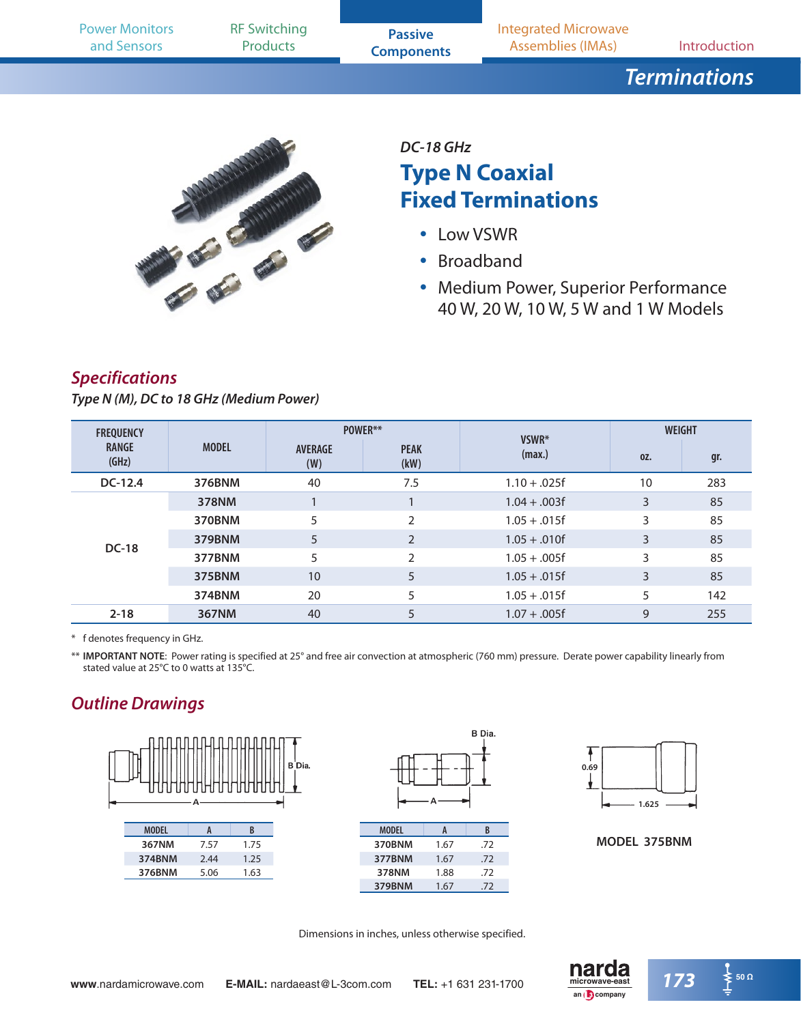| <b>Power Monitors</b><br>and Sensors                                                                                                                                                                                                                                                         |               | <b>RF Switching</b><br><b>Products</b> | <b>Passive</b><br><b>Components</b> | <b>Integrated Microwave</b><br><b>Assemblies (IMAs)</b> |               | Introduction        |
|----------------------------------------------------------------------------------------------------------------------------------------------------------------------------------------------------------------------------------------------------------------------------------------------|---------------|----------------------------------------|-------------------------------------|---------------------------------------------------------|---------------|---------------------|
|                                                                                                                                                                                                                                                                                              |               |                                        |                                     |                                                         |               | <b>Terminations</b> |
| DC-18 GHz<br><b>Type N Coaxial</b><br><b>Fixed Terminations</b><br><b>CALL CALL IN</b><br>Low VSWR<br><b>Broadband</b><br>$\bullet$<br><b>Medium Power, Superior Performance</b><br>40 W, 20 W, 10 W, 5 W and 1 W Models<br><b>Specifications</b><br>Type N (M), DC to 18 GHz (Medium Power) |               |                                        |                                     |                                                         |               |                     |
| <b>FREQUENCY</b>                                                                                                                                                                                                                                                                             | <b>MODEL</b>  | POWER**                                |                                     | VSWR*                                                   | <b>WEIGHT</b> |                     |
| <b>RANGE</b><br>(GHz)                                                                                                                                                                                                                                                                        |               | <b>AVERAGE</b><br>(W)                  | <b>PEAK</b><br>(kW)                 | (max.)                                                  | 0Z.           |                     |
| DC-12.4                                                                                                                                                                                                                                                                                      | <b>376BNM</b> | 40                                     | 7.5                                 | $1.10 + .025f$                                          | 10            | gr.                 |
|                                                                                                                                                                                                                                                                                              | <b>378NM</b>  | $\mathbf{1}$                           | $\mathbf{1}$                        | $1.04 + .003f$                                          | 3             | 283                 |
|                                                                                                                                                                                                                                                                                              |               |                                        |                                     |                                                         |               | 85                  |
|                                                                                                                                                                                                                                                                                              | 370BNM        | 5                                      | $\overline{2}$                      | $1.05 + .015f$                                          | 3             | 85                  |
|                                                                                                                                                                                                                                                                                              | <b>379BNM</b> | 5                                      | $\overline{2}$                      | $1.05 + .010f$                                          | 3             | 85                  |
| $DC-18$                                                                                                                                                                                                                                                                                      | 377BNM        | 5                                      | 2                                   | $1.05 + .005f$                                          | 3             | 85                  |
|                                                                                                                                                                                                                                                                                              | <b>375BNM</b> | 10                                     | 5                                   | $1.05 + .015f$                                          | 3             | 85                  |
|                                                                                                                                                                                                                                                                                              | 374BNM        | 20                                     | 5                                   | $1.05 + .015f$                                          | 5             | 142                 |

\* f denotes frequency in GHz.

\*\* **IMPORTANT NOTE**: Power rating is specified at 25° and free air convection at atmospheric (760 mm) pressure. Derate power capability linearly from stated value at 25°C to 0 watts at 135°C.

## *Outline Drawings*





| <b>MODEL</b> |      |     |
|--------------|------|-----|
| 370BNM       | 1.67 | .72 |
| 377BNM       | 1.67 | .72 |
| 378NM        | 1.88 | .72 |
| 379BNM       | 1.67 | .72 |



**MODEL 375BNM**

Dimensions in inches, unless otherwise specified.